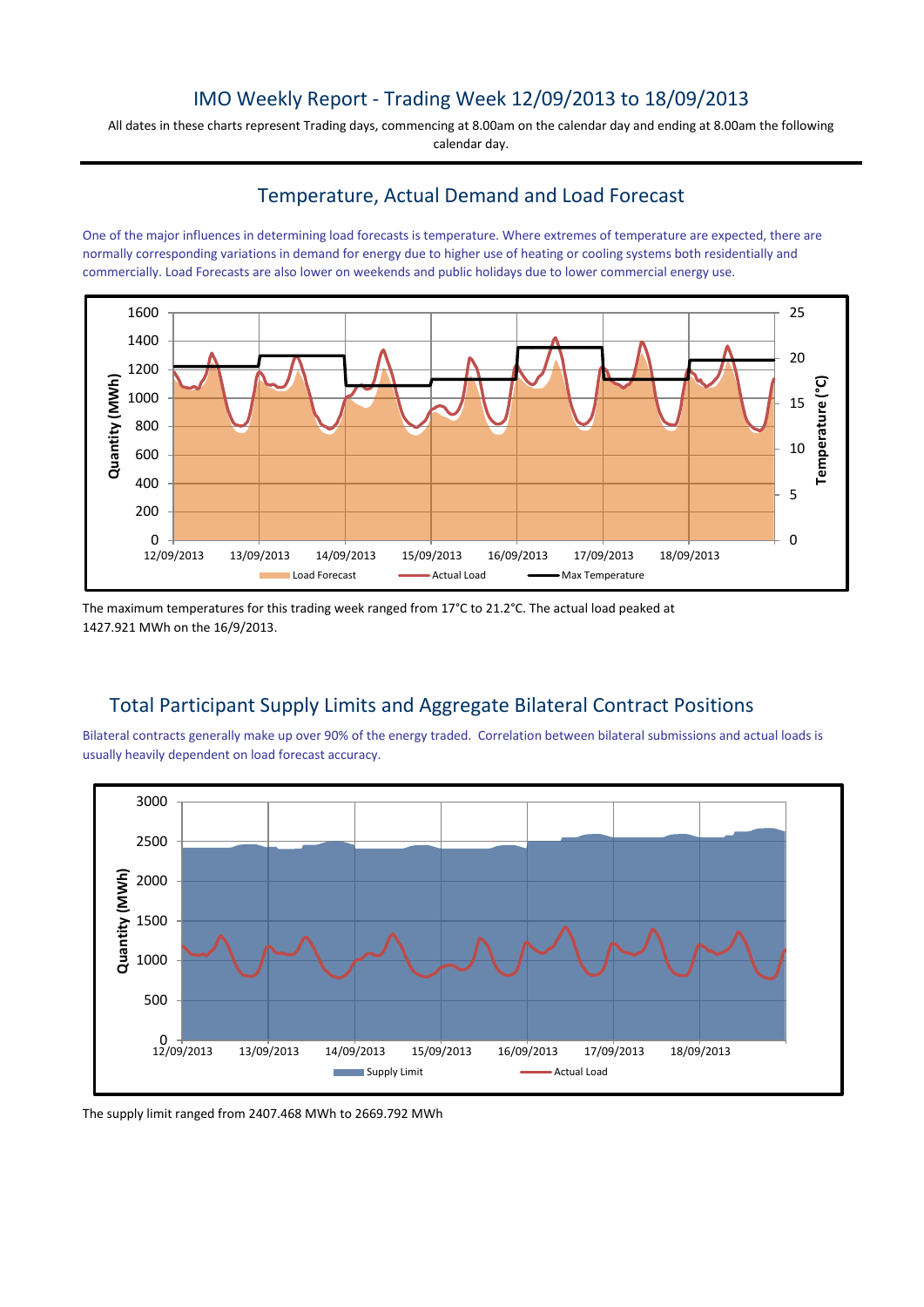# IMO Weekly Report - Trading Week 12/09/2013 to 18/09/2013

All dates in these charts represent Trading days, commencing at 8.00am on the calendar day and ending at 8.00am the following calendar day.

## Temperature, Actual Demand and Load Forecast

One of the major influences in determining load forecasts is temperature. Where extremes of temperature are expected, there are normally corresponding variations in demand for energy due to higher use of heating or cooling systems both residentially and commercially. Load Forecasts are also lower on weekends and public holidays due to lower commercial energy use.



The maximum temperatures for this trading week ranged from 17°C to 21.2°C. The actual load peaked at 1427.921 MWh on the 16/9/2013.

# Total Participant Supply Limits and Aggregate Bilateral Contract Positions

Bilateral contracts generally make up over 90% of the energy traded. Correlation between bilateral submissions and actual loads is usually heavily dependent on load forecast accuracy.



The supply limit ranged from 2407.468 MWh to 2669.792 MWh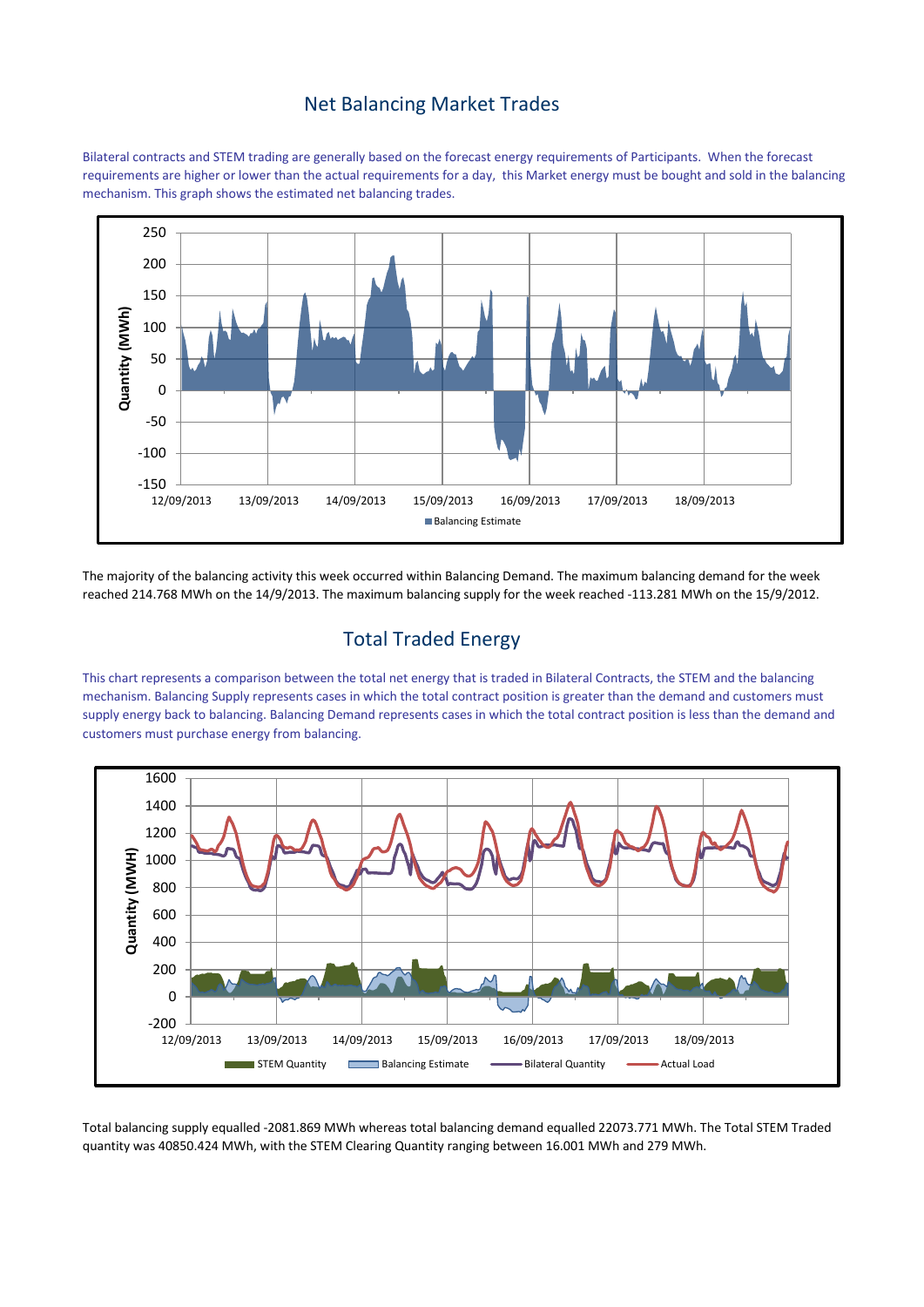#### Net Balancing Market Trades

Bilateral contracts and STEM trading are generally based on the forecast energy requirements of Participants. When the forecast requirements are higher or lower than the actual requirements for a day, this Market energy must be bought and sold in the balancing mechanism. This graph shows the estimated net balancing trades.



The majority of the balancing activity this week occurred within Balancing Demand. The maximum balancing demand for the week reached 214.768 MWh on the 14/9/2013. The maximum balancing supply for the week reached -113.281 MWh on the 15/9/2012.

# Total Traded Energy

This chart represents a comparison between the total net energy that is traded in Bilateral Contracts, the STEM and the balancing mechanism. Balancing Supply represents cases in which the total contract position is greater than the demand and customers must supply energy back to balancing. Balancing Demand represents cases in which the total contract position is less than the demand and customers must purchase energy from balancing.



Total balancing supply equalled -2081.869 MWh whereas total balancing demand equalled 22073.771 MWh. The Total STEM Traded quantity was 40850.424 MWh, with the STEM Clearing Quantity ranging between 16.001 MWh and 279 MWh.